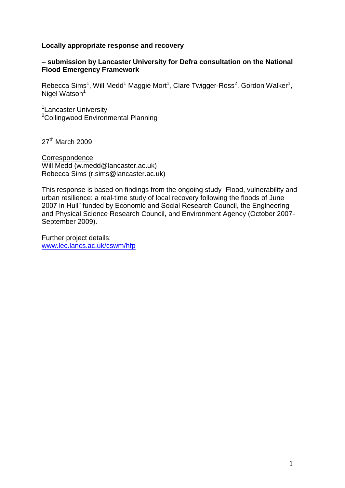## **Locally appropriate response and recovery**

## **– submission by Lancaster University for Defra consultation on the National Flood Emergency Framework**

Rebecca Sims<sup>1</sup>, Will Medd<sup>1</sup> Maggie Mort<sup>1</sup>, Clare Twigger-Ross<sup>2</sup>, Gordon Walker<sup>1</sup>, Nigel Watson $1$ 

<sup>1</sup> Lancaster University <sup>2</sup>Collingwood Environmental Planning

27<sup>th</sup> March 2009

**Correspondence** Will Medd (w.medd@lancaster.ac.uk) Rebecca Sims (r.sims@lancaster.ac.uk)

This response is based on findings from the ongoing study "Flood, vulnerability and urban resilience: a real-time study of local recovery following the floods of June 2007 in Hull" funded by Economic and Social Research Council, the Engineering and Physical Science Research Council, and Environment Agency (October 2007- September 2009).

Further project details: [www.lec.lancs.ac.uk/cswm/hfp](http://www.lec.lancs.ac.uk/cswm/hfp)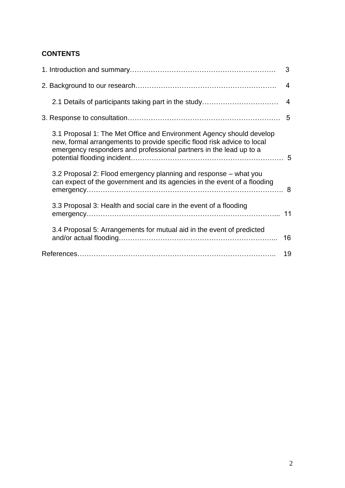# **CONTENTS**

|                                                                                                                                                                                                                       | 3                       |
|-----------------------------------------------------------------------------------------------------------------------------------------------------------------------------------------------------------------------|-------------------------|
|                                                                                                                                                                                                                       | 4                       |
| 2.1 Details of participants taking part in the study                                                                                                                                                                  | $\overline{\mathbf{4}}$ |
|                                                                                                                                                                                                                       |                         |
| 3.1 Proposal 1: The Met Office and Environment Agency should develop<br>new, formal arrangements to provide specific flood risk advice to local<br>emergency responders and professional partners in the lead up to a |                         |
| 3.2 Proposal 2: Flood emergency planning and response - what you<br>can expect of the government and its agencies in the event of a flooding                                                                          |                         |
| 3.3 Proposal 3: Health and social care in the event of a flooding                                                                                                                                                     |                         |
| 3.4 Proposal 5: Arrangements for mutual aid in the event of predicted                                                                                                                                                 | 16                      |
|                                                                                                                                                                                                                       | 19                      |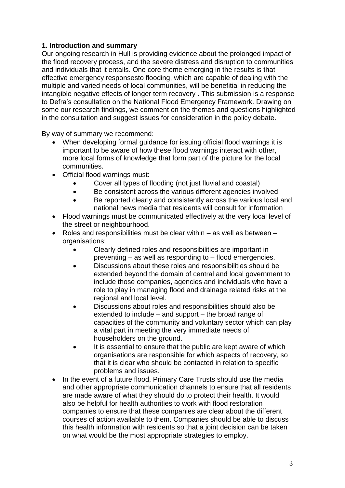# **1. Introduction and summary**

Our ongoing research in Hull is providing evidence about the prolonged impact of the flood recovery process, and the severe distress and disruption to communities and individuals that it entails. One core theme emerging in the results is that effective emergency responsesto flooding, which are capable of dealing with the multiple and varied needs of local communities, will be benefitial in reducing the intangible negative effects of longer term recovery . This submission is a response to Defra"s consultation on the National Flood Emergency Framework. Drawing on some our research findings, we comment on the themes and questions highlighted in the consultation and suggest issues for consideration in the policy debate.

By way of summary we recommend:

- When developing formal guidance for issuing official flood warnings it is important to be aware of how these flood warnings interact with other, more local forms of knowledge that form part of the picture for the local communities.
- Official flood warnings must:
	- Cover all types of flooding (not just fluvial and coastal)
	- Be consistent across the various different agencies involved
	- Be reported clearly and consistently across the various local and national news media that residents will consult for information
- Flood warnings must be communicated effectively at the very local level of the street or neighbourhood.
- Roles and responsibilities must be clear within  $-$  as well as between  $$ organisations:
	- Clearly defined roles and responsibilities are important in preventing – as well as responding to – flood emergencies.
	- Discussions about these roles and responsibilities should be extended beyond the domain of central and local government to include those companies, agencies and individuals who have a role to play in managing flood and drainage related risks at the regional and local level.
	- Discussions about roles and responsibilities should also be extended to include – and support – the broad range of capacities of the community and voluntary sector which can play a vital part in meeting the very immediate needs of householders on the ground.
	- It is essential to ensure that the public are kept aware of which organisations are responsible for which aspects of recovery, so that it is clear who should be contacted in relation to specific problems and issues.
- In the event of a future flood, Primary Care Trusts should use the media and other appropriate communication channels to ensure that all residents are made aware of what they should do to protect their health. It would also be helpful for health authorities to work with flood restoration companies to ensure that these companies are clear about the different courses of action available to them. Companies should be able to discuss this health information with residents so that a joint decision can be taken on what would be the most appropriate strategies to employ.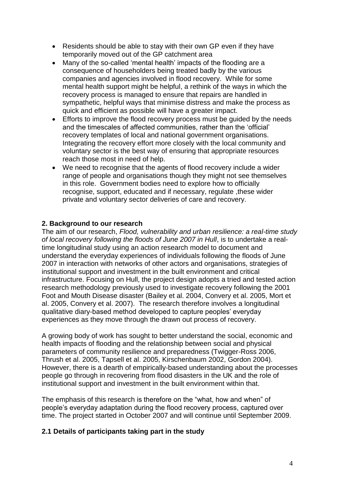- Residents should be able to stay with their own GP even if they have temporarily moved out of the GP catchment area
- Many of the so-called 'mental health' impacts of the flooding are a consequence of householders being treated badly by the various companies and agencies involved in flood recovery. While for some mental health support might be helpful, a rethink of the ways in which the recovery process is managed to ensure that repairs are handled in sympathetic, helpful ways that minimise distress and make the process as quick and efficient as possible will have a greater impact.
- Efforts to improve the flood recovery process must be guided by the needs and the timescales of affected communities, rather than the "official" recovery templates of local and national government organisations. Integrating the recovery effort more closely with the local community and voluntary sector is the best way of ensuring that appropriate resources reach those most in need of help.
- We need to recognise that the agents of flood recovery include a wider range of people and organisations though they might not see themselves in this role. Government bodies need to explore how to officially recognise, support, educated and if necessary, regulate ,these wider private and voluntary sector deliveries of care and recovery.

# **2. Background to our research**

The aim of our research, *Flood, vulnerability and urban resilience: a real-time study of local recovery following the floods of June 2007 in Hull*, is to undertake a realtime longitudinal study using an action research model to document and understand the everyday experiences of individuals following the floods of June 2007 in interaction with networks of other actors and organisations, strategies of institutional support and investment in the built environment and critical infrastructure. Focusing on Hull, the project design adopts a tried and tested action research methodology previously used to investigate recovery following the 2001 Foot and Mouth Disease disaster (Bailey et al. 2004, Convery et al. 2005, Mort et al. 2005, Convery et al. 2007). The research therefore involves a longitudinal qualitative diary-based method developed to capture peoples" everyday experiences as they move through the drawn out process of recovery.

A growing body of work has sought to better understand the social, economic and health impacts of flooding and the relationship between social and physical parameters of community resilience and preparedness (Twigger-Ross 2006, Thrush et al. 2005, Tapsell et al. 2005, Kirschenbaum 2002, Gordon 2004). However, there is a dearth of empirically-based understanding about the processes people go through in recovering from flood disasters in the UK and the role of institutional support and investment in the built environment within that.

The emphasis of this research is therefore on the "what, how and when" of people"s everyday adaptation during the flood recovery process, captured over time. The project started in October 2007 and will continue until September 2009.

# **2.1 Details of participants taking part in the study**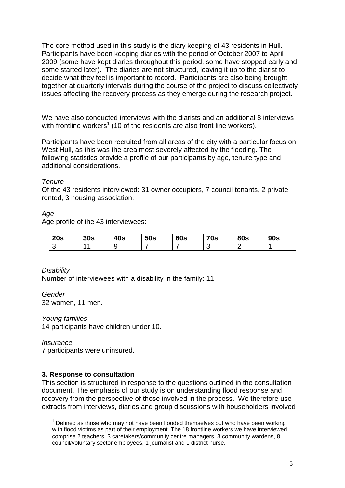The core method used in this study is the diary keeping of 43 residents in Hull. Participants have been keeping diaries with the period of October 2007 to April 2009 (some have kept diaries throughout this period, some have stopped early and some started later). The diaries are not structured, leaving it up to the diarist to decide what they feel is important to record. Participants are also being brought together at quarterly intervals during the course of the project to discuss collectively issues affecting the recovery process as they emerge during the research project.

We have also conducted interviews with the diarists and an additional 8 interviews with frontline workers<sup>1</sup> (10 of the residents are also front line workers).

Participants have been recruited from all areas of the city with a particular focus on West Hull, as this was the area most severely affected by the flooding. The following statistics provide a profile of our participants by age, tenure type and additional considerations.

## *Tenure*

Of the 43 residents interviewed: 31 owner occupiers, 7 council tenants, 2 private rented, 3 housing association.

# *Age*

Age profile of the 43 interviewees:

| 20s | 30s | 40s | 50s | <b>60s</b> | <b>70s</b> | <b>80s</b> | <b>90s</b> |
|-----|-----|-----|-----|------------|------------|------------|------------|
|     |     |     |     |            | ∼          |            |            |

*Disability* Number of interviewees with a disability in the family: 11

*Gender* 32 women, 11 men.

*Young families*

14 participants have children under 10.

*Insurance*

1

7 participants were uninsured.

# **3. Response to consultation**

This section is structured in response to the questions outlined in the consultation document. The emphasis of our study is on understanding flood response and recovery from the perspective of those involved in the process. We therefore use extracts from interviews, diaries and group discussions with householders involved

 $<sup>1</sup>$  Defined as those who may not have been flooded themselves but who have been working</sup> with flood victims as part of their employment. The 18 frontline workers we have interviewed comprise 2 teachers, 3 caretakers/community centre managers, 3 community wardens, 8 council/voluntary sector employees, 1 journalist and 1 district nurse.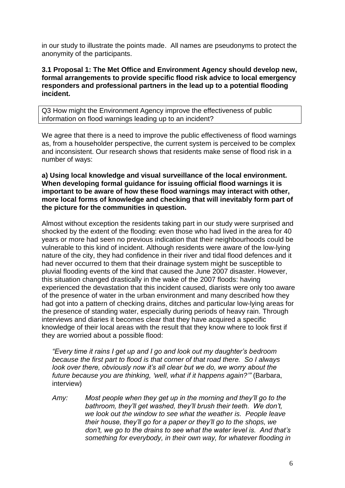in our study to illustrate the points made. All names are pseudonyms to protect the anonymity of the participants.

## **3.1 Proposal 1: The Met Office and Environment Agency should develop new, formal arrangements to provide specific flood risk advice to local emergency responders and professional partners in the lead up to a potential flooding incident.**

Q3 How might the Environment Agency improve the effectiveness of public information on flood warnings leading up to an incident?

We agree that there is a need to improve the public effectiveness of flood warnings as, from a householder perspective, the current system is perceived to be complex and inconsistent. Our research shows that residents make sense of flood risk in a number of ways:

## **a) Using local knowledge and visual surveillance of the local environment. When developing formal guidance for issuing official flood warnings it is important to be aware of how these flood warnings may interact with other, more local forms of knowledge and checking that will inevitably form part of the picture for the communities in question.**

Almost without exception the residents taking part in our study were surprised and shocked by the extent of the flooding: even those who had lived in the area for 40 years or more had seen no previous indication that their neighbourhoods could be vulnerable to this kind of incident. Although residents were aware of the low-lying nature of the city, they had confidence in their river and tidal flood defences and it had never occurred to them that their drainage system might be susceptible to pluvial flooding events of the kind that caused the June 2007 disaster. However, this situation changed drastically in the wake of the 2007 floods: having experienced the devastation that this incident caused, diarists were only too aware of the presence of water in the urban environment and many described how they had got into a pattern of checking drains, ditches and particular low-lying areas for the presence of standing water, especially during periods of heavy rain. Through interviews and diaries it becomes clear that they have acquired a specific knowledge of their local areas with the result that they know where to look first if they are worried about a possible flood:

*"Every time it rains I get up and I go and look out my daughter"s bedroom because the first part to flood is that corner of that road there. So I always look over there, obviously now it's all clear but we do, we worry about the future because you are thinking, "well, what if it happens again?""* (Barbara, interview)

*Amy: Most people when they get up in the morning and they"ll go to the bathroom, they"ll get washed, they"ll brush their teeth. We don"t, we look out the window to see what the weather is. People leave their house, they"ll go for a paper or they"ll go to the shops, we don"t, we go to the drains to see what the water level is. And that"s something for everybody, in their own way, for whatever flooding in*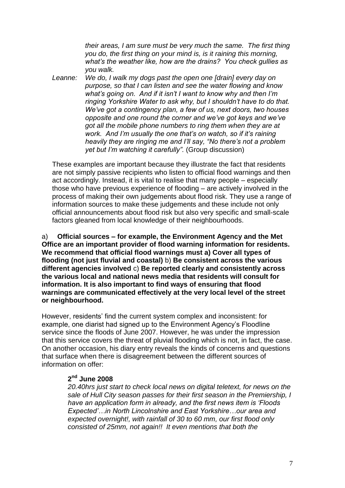*their areas, I am sure must be very much the same. The first thing you do, the first thing on your mind is, is it raining this morning, what"s the weather like, how are the drains? You check gullies as you walk.*

*Leanne: We do, I walk my dogs past the open one [drain] every day on purpose, so that I can listen and see the water flowing and know what"s going on. And if it isn"t I want to know why and then I"m ringing Yorkshire Water to ask why, but I shouldn"t have to do that. We"ve got a contingency plan, a few of us, next doors, two houses opposite and one round the corner and we"ve got keys and we"ve got all the mobile phone numbers to ring them when they are at work. And I"m usually the one that"s on watch, so if it"s raining heavily they are ringing me and I"ll say, "No there"s not a problem yet but I"m watching it carefully".* (Group discussion)

These examples are important because they illustrate the fact that residents are not simply passive recipients who listen to official flood warnings and then act accordingly. Instead, it is vital to realise that many people – especially those who have previous experience of flooding – are actively involved in the process of making their own judgements about flood risk. They use a range of information sources to make these judgements and these include not only official announcements about flood risk but also very specific and small-scale factors gleaned from local knowledge of their neighbourhoods.

a) **Official sources – for example, the Environment Agency and the Met Office are an important provider of flood warning information for residents. We recommend that official flood warnings must a) Cover all types of flooding (not just fluvial and coastal)** b) **Be consistent across the various different agencies involved** c) **Be reported clearly and consistently across the various local and national news media that residents will consult for information. It is also important to find ways of ensuring that flood warnings are communicated effectively at the very local level of the street or neighbourhood.**

However, residents" find the current system complex and inconsistent: for example, one diarist had signed up to the Environment Agency"s Floodline service since the floods of June 2007. However, he was under the impression that this service covers the threat of pluvial flooding which is not, in fact, the case. On another occasion, his diary entry reveals the kinds of concerns and questions that surface when there is disagreement between the different sources of information on offer:

## **2 nd June 2008**

*20.40hrs just start to check local news on digital teletext, for news on the sale of Hull City season passes for their first season in the Premiership, I have an application form in already, and the first news item is "Floods Expected"…in North Lincolnshire and East Yorkshire…our area and expected overnight!, with rainfall of 30 to 60 mm, our first flood only consisted of 25mm, not again!! It even mentions that both the*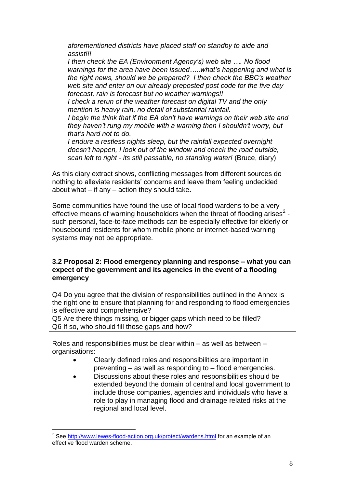*aforementioned districts have placed staff on standby to aide and assist!!!* 

*I then check the EA (Environment Agency"s) web site …. No flood warnings for the area have been issued…..what"s happening and what is the right news, should we be prepared? I then check the BBC"s weather web site and enter on our already preposted post code for the five day forecast, rain is forecast but no weather warnings!!*

*I check a rerun of the weather forecast on digital TV and the only mention is heavy rain, no detail of substantial rainfall.*

*I begin the think that if the EA don't have warnings on their web site and they haven"t rung my mobile with a warning then I shouldn"t worry, but that"s hard not to do.*

*I endure a restless nights sleep, but the rainfall expected overnight doesn"t happen, I look out of the window and check the road outside, scan left to right - its still passable, no standing water!* (Bruce, diary)

As this diary extract shows, conflicting messages from different sources do nothing to alleviate residents" concerns and leave them feeling undecided about what – if any – action they should take**.** 

Some communities have found the use of local flood wardens to be a very effective means of warning householders when the threat of flooding arises<sup>2</sup> such personal, face-to-face methods can be especially effective for elderly or housebound residents for whom mobile phone or internet-based warning systems may not be appropriate.

## **3.2 Proposal 2: Flood emergency planning and response – what you can expect of the government and its agencies in the event of a flooding emergency**

Q4 Do you agree that the division of responsibilities outlined in the Annex is the right one to ensure that planning for and responding to flood emergencies is effective and comprehensive?

Q5 Are there things missing, or bigger gaps which need to be filled? Q6 If so, who should fill those gaps and how?

Roles and responsibilities must be clear within – as well as between – organisations:

- Clearly defined roles and responsibilities are important in preventing – as well as responding to – flood emergencies.
- Discussions about these roles and responsibilities should be extended beyond the domain of central and local government to include those companies, agencies and individuals who have a role to play in managing flood and drainage related risks at the regional and local level.

<u>.</u>

<sup>&</sup>lt;sup>2</sup> See<http://www.lewes-flood-action.org.uk/protect/wardens.html> for an example of an effective flood warden scheme.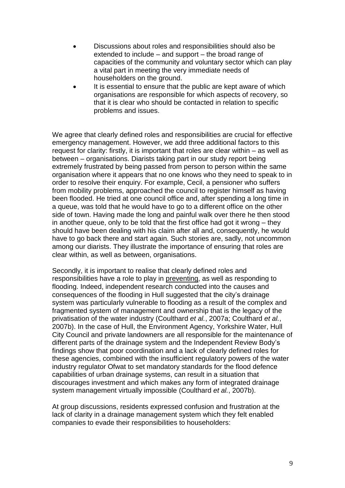- Discussions about roles and responsibilities should also be extended to include – and support – the broad range of capacities of the community and voluntary sector which can play a vital part in meeting the very immediate needs of householders on the ground.
- It is essential to ensure that the public are kept aware of which organisations are responsible for which aspects of recovery, so that it is clear who should be contacted in relation to specific problems and issues.

We agree that clearly defined roles and responsibilities are crucial for effective emergency management. However, we add three additional factors to this request for clarity: firstly, it is important that roles are clear within – as well as between – organisations. Diarists taking part in our study report being extremely frustrated by being passed from person to person within the same organisation where it appears that no one knows who they need to speak to in order to resolve their enquiry. For example, Cecil, a pensioner who suffers from mobility problems, approached the council to register himself as having been flooded. He tried at one council office and, after spending a long time in a queue, was told that he would have to go to a different office on the other side of town. Having made the long and painful walk over there he then stood in another queue, only to be told that the first office had got it wrong – they should have been dealing with his claim after all and, consequently, he would have to go back there and start again. Such stories are, sadly, not uncommon among our diarists. They illustrate the importance of ensuring that roles are clear within, as well as between, organisations.

Secondly, it is important to realise that clearly defined roles and responsibilities have a role to play in preventing, as well as responding to flooding. Indeed, independent research conducted into the causes and consequences of the flooding in Hull suggested that the city"s drainage system was particularly vulnerable to flooding as a result of the complex and fragmented system of management and ownership that is the legacy of the privatisation of the water industry (Coulthard *et al.*, 2007a; Coulthard *et al.*, 2007b). In the case of Hull, the Environment Agency, Yorkshire Water, Hull City Council and private landowners are all responsible for the maintenance of different parts of the drainage system and the Independent Review Body"s findings show that poor coordination and a lack of clearly defined roles for these agencies, combined with the insufficient regulatory powers of the water industry regulator Ofwat to set mandatory standards for the flood defence capabilities of urban drainage systems, can result in a situation that discourages investment and which makes any form of integrated drainage system management virtually impossible (Coulthard *et al.*, 2007b).

At group discussions, residents expressed confusion and frustration at the lack of clarity in a drainage management system which they felt enabled companies to evade their responsibilities to householders: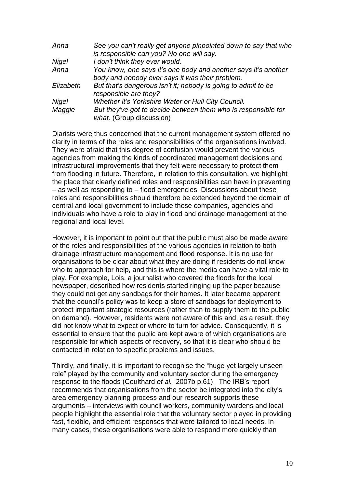| Anna         | See you can't really get anyone pinpointed down to say that who                           |
|--------------|-------------------------------------------------------------------------------------------|
|              | is responsible can you? No one will say.                                                  |
| <b>Nigel</b> | I don't think they ever would.                                                            |
| Anna         | You know, one says it's one body and another says it's another                            |
|              | body and nobody ever says it was their problem.                                           |
| Elizabeth    | But that's dangerous isn't it; nobody is going to admit to be<br>responsible are they?    |
| Nigel        | Whether it's Yorkshire Water or Hull City Council.                                        |
| Maggie       | But they've got to decide between them who is responsible for<br>what. (Group discussion) |

Diarists were thus concerned that the current management system offered no clarity in terms of the roles and responsibilities of the organisations involved. They were afraid that this degree of confusion would prevent the various agencies from making the kinds of coordinated management decisions and infrastructural improvements that they felt were necessary to protect them from flooding in future. Therefore, in relation to this consultation, we highlight the place that clearly defined roles and responsibilities can have in preventing – as well as responding to – flood emergencies. Discussions about these roles and responsibilities should therefore be extended beyond the domain of central and local government to include those companies, agencies and individuals who have a role to play in flood and drainage management at the regional and local level.

However, it is important to point out that the public must also be made aware of the roles and responsibilities of the various agencies in relation to both drainage infrastructure management and flood response. It is no use for organisations to be clear about what they are doing if residents do not know who to approach for help, and this is where the media can have a vital role to play. For example, Lois, a journalist who covered the floods for the local newspaper, described how residents started ringing up the paper because they could not get any sandbags for their homes. It later became apparent that the council"s policy was to keep a store of sandbags for deployment to protect important strategic resources (rather than to supply them to the public on demand). However, residents were not aware of this and, as a result, they did not know what to expect or where to turn for advice. Consequently, it is essential to ensure that the public are kept aware of which organisations are responsible for which aspects of recovery, so that it is clear who should be contacted in relation to specific problems and issues.

Thirdly, and finally, it is important to recognise the "huge yet largely unseen role" played by the community and voluntary sector during the emergency response to the floods (Coulthard *et al.*, 2007b p.61). The IRB"s report recommends that organisations from the sector be integrated into the city"s area emergency planning process and our research supports these arguments – interviews with council workers, community wardens and local people highlight the essential role that the voluntary sector played in providing fast, flexible, and efficient responses that were tailored to local needs. In many cases, these organisations were able to respond more quickly than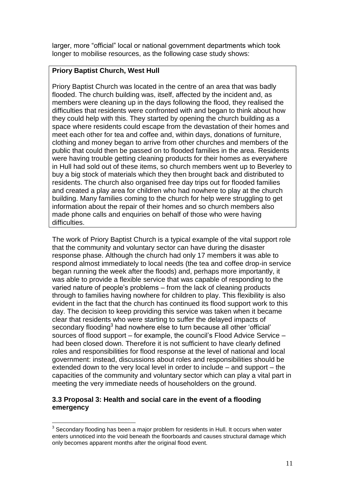larger, more "official" local or national government departments which took longer to mobilise resources, as the following case study shows:

# **Priory Baptist Church, West Hull**

Priory Baptist Church was located in the centre of an area that was badly flooded. The church building was, itself, affected by the incident and, as members were cleaning up in the days following the flood, they realised the difficulties that residents were confronted with and began to think about how they could help with this. They started by opening the church building as a space where residents could escape from the devastation of their homes and meet each other for tea and coffee and, within days, donations of furniture, clothing and money began to arrive from other churches and members of the public that could then be passed on to flooded families in the area. Residents were having trouble getting cleaning products for their homes as everywhere in Hull had sold out of these items, so church members went up to Beverley to buy a big stock of materials which they then brought back and distributed to residents. The church also organised free day trips out for flooded families and created a play area for children who had nowhere to play at the church building. Many families coming to the church for help were struggling to get information about the repair of their homes and so church members also made phone calls and enquiries on behalf of those who were having difficulties.

The work of Priory Baptist Church is a typical example of the vital support role that the community and voluntary sector can have during the disaster response phase. Although the church had only 17 members it was able to respond almost immediately to local needs (the tea and coffee drop-in service began running the week after the floods) and, perhaps more importantly, it was able to provide a flexible service that was capable of responding to the varied nature of people"s problems – from the lack of cleaning products through to families having nowhere for children to play. This flexibility is also evident in the fact that the church has continued its flood support work to this day. The decision to keep providing this service was taken when it became clear that residents who were starting to suffer the delayed impacts of secondary flooding $3$  had nowhere else to turn because all other 'official' sources of flood support – for example, the council"s Flood Advice Service – had been closed down. Therefore it is not sufficient to have clearly defined roles and responsibilities for flood response at the level of national and local government: instead, discussions about roles and responsibilities should be extended down to the very local level in order to include – and support – the capacities of the community and voluntary sector which can play a vital part in meeting the very immediate needs of householders on the ground.

## **3.3 Proposal 3: Health and social care in the event of a flooding emergency**

<u>.</u>

 $3$  Secondary flooding has been a major problem for residents in Hull. It occurs when water enters unnoticed into the void beneath the floorboards and causes structural damage which only becomes apparent months after the original flood event.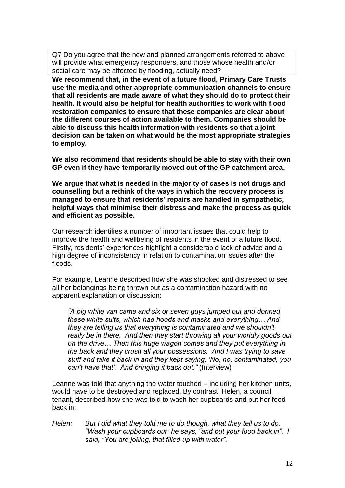Q7 Do you agree that the new and planned arrangements referred to above will provide what emergency responders, and those whose health and/or social care may be affected by flooding, actually need?

**We recommend that, in the event of a future flood, Primary Care Trusts use the media and other appropriate communication channels to ensure that all residents are made aware of what they should do to protect their health. It would also be helpful for health authorities to work with flood restoration companies to ensure that these companies are clear about the different courses of action available to them. Companies should be able to discuss this health information with residents so that a joint decision can be taken on what would be the most appropriate strategies to employ.**

**We also recommend that residents should be able to stay with their own GP even if they have temporarily moved out of the GP catchment area.**

**We argue that what is needed in the majority of cases is not drugs and counselling but a rethink of the ways in which the recovery process is managed to ensure that residents' repairs are handled in sympathetic, helpful ways that minimise their distress and make the process as quick and efficient as possible.**

Our research identifies a number of important issues that could help to improve the health and wellbeing of residents in the event of a future flood. Firstly, residents" experiences highlight a considerable lack of advice and a high degree of inconsistency in relation to contamination issues after the floods.

For example, Leanne described how she was shocked and distressed to see all her belongings being thrown out as a contamination hazard with no apparent explanation or discussion:

*"A big white van came and six or seven guys jumped out and donned these white suits, which had hoods and masks and everything… And they are telling us that everything is contaminated and we shouldn"t really be in there. And then they start throwing all your worldly goods out on the drive… Then this huge wagon comes and they put everything in the back and they crush all your possessions. And I was trying to save stuff and take it back in and they kept saying, "No, no, contaminated, you can"t have that". And bringing it back out."* (Interview)

Leanne was told that anything the water touched – including her kitchen units, would have to be destroyed and replaced. By contrast, Helen, a council tenant, described how she was told to wash her cupboards and put her food back in:

*Helen: But I did what they told me to do though, what they tell us to do. "Wash your cupboards out" he says, "and put your food back in". I said, "You are joking, that filled up with water".*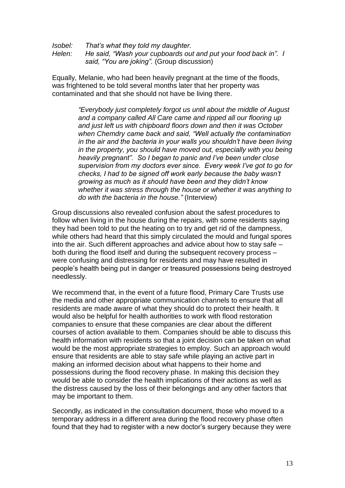*Isobel: That"s what they told my daughter. Helen: He said, "Wash your cupboards out and put your food back in". I said, "You are joking".* (Group discussion)

Equally, Melanie, who had been heavily pregnant at the time of the floods, was frightened to be told several months later that her property was contaminated and that she should not have be living there.

> *"Everybody just completely forgot us until about the middle of August and a company called All Care came and ripped all our flooring up and just left us with chipboard floors down and then it was October when Chemdry came back and said, "Well actually the contamination in the air and the bacteria in your walls you shouldn"t have been living in the property, you should have moved out, especially with you being heavily pregnant". So I began to panic and I"ve been under close supervision from my doctors ever since. Every week I"ve got to go for checks, I had to be signed off work early because the baby wasn"t growing as much as it should have been and they didn"t know whether it was stress through the house or whether it was anything to do with the bacteria in the house."* (Interview)

Group discussions also revealed confusion about the safest procedures to follow when living in the house during the repairs, with some residents saying they had been told to put the heating on to try and get rid of the dampness, while others had heard that this simply circulated the mould and fungal spores into the air. Such different approaches and advice about how to stay safe – both during the flood itself and during the subsequent recovery process – were confusing and distressing for residents and may have resulted in people"s health being put in danger or treasured possessions being destroyed needlessly.

We recommend that, in the event of a future flood, Primary Care Trusts use the media and other appropriate communication channels to ensure that all residents are made aware of what they should do to protect their health. It would also be helpful for health authorities to work with flood restoration companies to ensure that these companies are clear about the different courses of action available to them. Companies should be able to discuss this health information with residents so that a joint decision can be taken on what would be the most appropriate strategies to employ. Such an approach would ensure that residents are able to stay safe while playing an active part in making an informed decision about what happens to their home and possessions during the flood recovery phase. In making this decision they would be able to consider the health implications of their actions as well as the distress caused by the loss of their belongings and any other factors that may be important to them.

Secondly, as indicated in the consultation document, those who moved to a temporary address in a different area during the flood recovery phase often found that they had to register with a new doctor's surgery because they were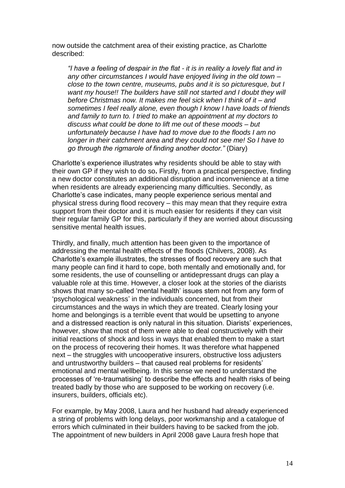now outside the catchment area of their existing practice, as Charlotte described:

*"I have a feeling of despair in the flat - it is in reality a lovely flat and in any other circumstances I would have enjoyed living in the old town – close to the town centre, museums, pubs and it is so picturesque, but I want my house!! The builders have still not started and I doubt they will before Christmas now. It makes me feel sick when I think of it – and sometimes I feel really alone, even though I know I have loads of friends and family to turn to. I tried to make an appointment at my doctors to discuss what could be done to lift me out of these moods – but unfortunately because I have had to move due to the floods I am no longer in their catchment area and they could not see me! So I have to go through the rigmarole of finding another doctor."* (Diary)

Charlotte"s experience illustrates why residents should be able to stay with their own GP if they wish to do so**.** Firstly, from a practical perspective, finding a new doctor constitutes an additional disruption and inconvenience at a time when residents are already experiencing many difficulties. Secondly, as Charlotte"s case indicates, many people experience serious mental and physical stress during flood recovery – this may mean that they require extra support from their doctor and it is much easier for residents if they can visit their regular family GP for this, particularly if they are worried about discussing sensitive mental health issues.

Thirdly, and finally, much attention has been given to the importance of addressing the mental health effects of the floods (Chilvers, 2008). As Charlotte"s example illustrates, the stresses of flood recovery are such that many people can find it hard to cope, both mentally and emotionally and, for some residents, the use of counselling or antidepressant drugs can play a valuable role at this time. However, a closer look at the stories of the diarists shows that many so-called "mental health" issues stem not from any form of "psychological weakness" in the individuals concerned, but from their circumstances and the ways in which they are treated. Clearly losing your home and belongings is a terrible event that would be upsetting to anyone and a distressed reaction is only natural in this situation. Diarists' experiences, however, show that most of them were able to deal constructively with their initial reactions of shock and loss in ways that enabled them to make a start on the process of recovering their homes. It was therefore what happened next – the struggles with uncooperative insurers, obstructive loss adjusters and untrustworthy builders – that caused real problems for residents" emotional and mental wellbeing. In this sense we need to understand the processes of "re-traumatising" to describe the effects and health risks of being treated badly by those who are supposed to be working on recovery (i.e. insurers, builders, officials etc).

For example, by May 2008, Laura and her husband had already experienced a string of problems with long delays, poor workmanship and a catalogue of errors which culminated in their builders having to be sacked from the job. The appointment of new builders in April 2008 gave Laura fresh hope that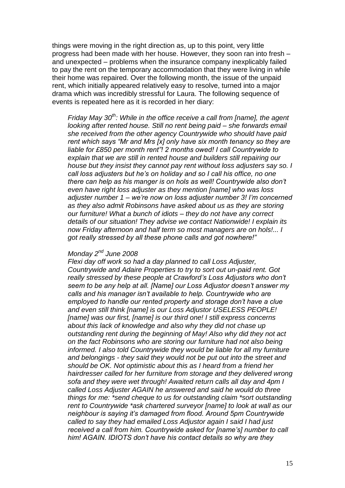things were moving in the right direction as, up to this point, very little progress had been made with her house. However, they soon ran into fresh – and unexpected – problems when the insurance company inexplicably failed to pay the rent on the temporary accommodation that they were living in while their home was repaired. Over the following month, the issue of the unpaid rent, which initially appeared relatively easy to resolve, turned into a major drama which was incredibly stressful for Laura. The following sequence of events is repeated here as it is recorded in her diary:

*Friday May 30th: While in the office receive a call from [name], the agent looking after rented house. Still no rent being paid – she forwards email she received from the other agency Countrywide who should have paid rent which says "Mr and Mrs [x] only have six month tenancy so they are liable for £850 per month rent"! 2 months owed! I call Countrywide to explain that we are still in rented house and builders still repairing our house but they insist they cannot pay rent without loss adjusters say so. I call loss adjusters but he"s on holiday and so I call his office, no one there can help as his manger is on hols as well! Countrywide also don"t even have right loss adjuster as they mention [name] who was loss adjuster number 1 – we"re now on loss adjuster number 3! I"m concerned as they also admit Robinsons have asked about us as they are storing our furniture! What a bunch of idiots – they do not have any correct details of our situation! They advise we contact Nationwide! I explain its now Friday afternoon and half term so most managers are on hols!... I got really stressed by all these phone calls and got nowhere!"*

## *Monday 2nd June 2008*

*Flexi day off work so had a day planned to call Loss Adjuster, Countrywide and Adaire Properties to try to sort out un-paid rent. Got really stressed by these people at Crawford"s Loss Adjustors who don"t seem to be any help at all. [Name] our Loss Adjustor doesn"t answer my calls and his manager isn"t available to help. Countrywide who are employed to handle our rented property and storage don"t have a clue and even still think [name] is our Loss Adjustor USELESS PEOPLE! [name] was our first, [name] is our third one! I still express concerns about this lack of knowledge and also why they did not chase up outstanding rent during the beginning of May! Also why did they not act on the fact Robinsons who are storing our furniture had not also being informed. I also told Countrywide they would be liable for all my furniture and belongings - they said they would not be put out into the street and should be OK. Not optimistic about this as I heard from a friend her hairdresser called for her furniture from storage and they delivered wrong sofa and they were wet through! Awaited return calls all day and 4pm I called Loss Adjuster AGAIN he answered and said he would do three things for me: \*send cheque to us for outstanding claim \*sort outstanding rent to Countrywide \*ask chartered surveyor [name] to look at wall as our neighbour is saying it"s damaged from flood. Around 5pm Countrywide called to say they had emailed Loss Adjustor again I said I had just received a call from him. Countrywide asked for [name"s] number to call him! AGAIN. IDIOTS don"t have his contact details so why are they*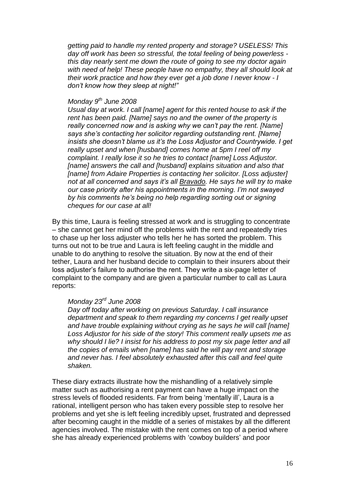*getting paid to handle my rented property and storage? USELESS! This day off work has been so stressful, the total feeling of being powerless this day nearly sent me down the route of going to see my doctor again with need of help! These people have no empathy, they all should look at their work practice and how they ever get a job done I never know - I don"t know how they sleep at night!"*

## *Monday 9th June 2008*

*Usual day at work. I call [name] agent for this rented house to ask if the rent has been paid. [Name] says no and the owner of the property is really concerned now and is asking why we can"t pay the rent. [Name] says she"s contacting her solicitor regarding outstanding rent. [Name] insists she doesn"t blame us it"s the Loss Adjustor and Countrywide. I get really upset and when [husband] comes home at 5pm I reel off my complaint. I really lose it so he tries to contact [name] Loss Adjustor. [name] answers the call and [husband] explains situation and also that*  [name] from Adaire Properties is contacting her solicitor. [Loss adjuster] *not at all concerned and says it"s all Bravado. He says he will try to make our case priority after his appointments in the morning. I"m not swayed by his comments he"s being no help regarding sorting out or signing cheques for our case at all!*

By this time, Laura is feeling stressed at work and is struggling to concentrate – she cannot get her mind off the problems with the rent and repeatedly tries to chase up her loss adjuster who tells her he has sorted the problem. This turns out not to be true and Laura is left feeling caught in the middle and unable to do anything to resolve the situation. By now at the end of their tether, Laura and her husband decide to complain to their insurers about their loss adjuster"s failure to authorise the rent. They write a six-page letter of complaint to the company and are given a particular number to call as Laura reports:

# *Monday 23rd June 2008*

*Day off today after working on previous Saturday. I call insurance department and speak to them regarding my concerns I get really upset and have trouble explaining without crying as he says he will call [name] Loss Adjustor for his side of the story! This comment really upsets me as why should I lie? I insist for his address to post my six page letter and all the copies of emails when [name] has said he will pay rent and storage and never has. I feel absolutely exhausted after this call and feel quite shaken.* 

These diary extracts illustrate how the mishandling of a relatively simple matter such as authorising a rent payment can have a huge impact on the stress levels of flooded residents. Far from being "mentally ill", Laura is a rational, intelligent person who has taken every possible step to resolve her problems and yet she is left feeling incredibly upset, frustrated and depressed after becoming caught in the middle of a series of mistakes by all the different agencies involved. The mistake with the rent comes on top of a period where she has already experienced problems with "cowboy builders" and poor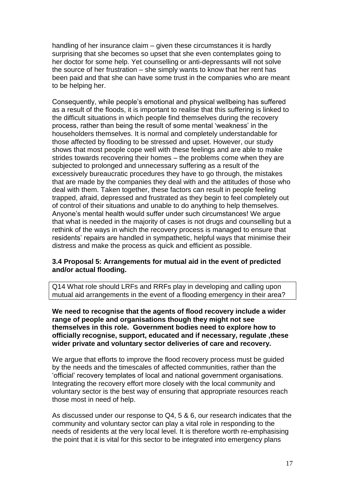handling of her insurance claim – given these circumstances it is hardly surprising that she becomes so upset that she even contemplates going to her doctor for some help. Yet counselling or anti-depressants will not solve the source of her frustration – she simply wants to know that her rent has been paid and that she can have some trust in the companies who are meant to be helping her.

Consequently, while people"s emotional and physical wellbeing has suffered as a result of the floods, it is important to realise that this suffering is linked to the difficult situations in which people find themselves during the recovery process, rather than being the result of some mental "weakness" in the householders themselves. It is normal and completely understandable for those affected by flooding to be stressed and upset. However, our study shows that most people cope well with these feelings and are able to make strides towards recovering their homes – the problems come when they are subjected to prolonged and unnecessary suffering as a result of the excessively bureaucratic procedures they have to go through, the mistakes that are made by the companies they deal with and the attitudes of those who deal with them. Taken together, these factors can result in people feeling trapped, afraid, depressed and frustrated as they begin to feel completely out of control of their situations and unable to do anything to help themselves. Anyone"s mental health would suffer under such circumstances! We argue that what is needed in the majority of cases is not drugs and counselling but a rethink of the ways in which the recovery process is managed to ensure that residents' repairs are handled in sympathetic, helpful ways that minimise their distress and make the process as quick and efficient as possible.

## **3.4 Proposal 5: Arrangements for mutual aid in the event of predicted and/or actual flooding.**

Q14 What role should LRFs and RRFs play in developing and calling upon mutual aid arrangements in the event of a flooding emergency in their area?

**We need to recognise that the agents of flood recovery include a wider range of people and organisations though they might not see themselves in this role. Government bodies need to explore how to officially recognise, support, educated and if necessary, regulate ,these wider private and voluntary sector deliveries of care and recovery.**

We argue that efforts to improve the flood recovery process must be guided by the needs and the timescales of affected communities, rather than the "official" recovery templates of local and national government organisations. Integrating the recovery effort more closely with the local community and voluntary sector is the best way of ensuring that appropriate resources reach those most in need of help.

As discussed under our response to Q4, 5 & 6, our research indicates that the community and voluntary sector can play a vital role in responding to the needs of residents at the very local level. It is therefore worth re-emphasising the point that it is vital for this sector to be integrated into emergency plans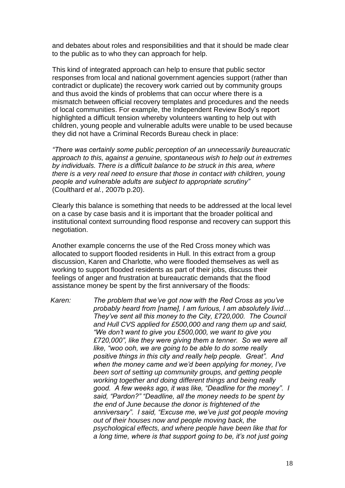and debates about roles and responsibilities and that it should be made clear to the public as to who they can approach for help.

This kind of integrated approach can help to ensure that public sector responses from local and national government agencies support (rather than contradict or duplicate) the recovery work carried out by community groups and thus avoid the kinds of problems that can occur where there is a mismatch between official recovery templates and procedures and the needs of local communities. For example, the Independent Review Body"s report highlighted a difficult tension whereby volunteers wanting to help out with children, young people and vulnerable adults were unable to be used because they did not have a Criminal Records Bureau check in place:

*"There was certainly some public perception of an unnecessarily bureaucratic approach to this, against a genuine, spontaneous wish to help out in extremes by individuals. There is a difficult balance to be struck in this area, where there is a very real need to ensure that those in contact with children, young people and vulnerable adults are subject to appropriate scrutiny"* (Coulthard *et al.*, 2007b p.20).

Clearly this balance is something that needs to be addressed at the local level on a case by case basis and it is important that the broader political and institutional context surrounding flood response and recovery can support this negotiation.

Another example concerns the use of the Red Cross money which was allocated to support flooded residents in Hull. In this extract from a group discussion, Karen and Charlotte, who were flooded themselves as well as working to support flooded residents as part of their jobs, discuss their feelings of anger and frustration at bureaucratic demands that the flood assistance money be spent by the first anniversary of the floods:

*Karen: The problem that we"ve got now with the Red Cross as you"ve probably heard from [name], I am furious, I am absolutely livid… They"ve sent all this money to the City, £720,000. The Council and Hull CVS applied for £500,000 and rang them up and said, "We don"t want to give you £500,000, we want to give you £720,000", like they were giving them a tenner. So we were all like, "woo ooh, we are going to be able to do some really positive things in this city and really help people. Great". And when the money came and we"d been applying for money, I"ve been sort of setting up community groups, and getting people working together and doing different things and being really good. A few weeks ago, it was like, "Deadline for the money". I said, "Pardon?" "Deadline, all the money needs to be spent by the end of June because the donor is frightened of the anniversary". I said, "Excuse me, we"ve just got people moving out of their houses now and people moving back, the psychological effects, and where people have been like that for a long time, where is that support going to be, it"s not just going*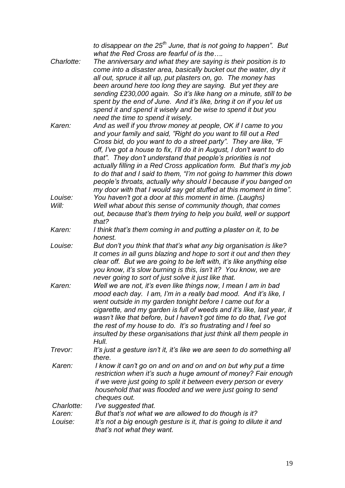| Charlotte:        | to disappear on the $25th$ June, that is not going to happen". But<br>what the Red Cross are fearful of is the<br>The anniversary and what they are saying is their position is to<br>come into a disaster area, basically bucket out the water, dry it                                                                                                                                                                                                                                                                                                                                                                            |
|-------------------|------------------------------------------------------------------------------------------------------------------------------------------------------------------------------------------------------------------------------------------------------------------------------------------------------------------------------------------------------------------------------------------------------------------------------------------------------------------------------------------------------------------------------------------------------------------------------------------------------------------------------------|
|                   | all out, spruce it all up, put plasters on, go. The money has<br>been around here too long they are saying. But yet they are<br>sending £230,000 again. So it's like hang on a minute, still to be<br>spent by the end of June. And it's like, bring it on if you let us<br>spend it and spend it wisely and be wise to spend it but you<br>need the time to spend it wisely.                                                                                                                                                                                                                                                      |
| Karen:            | And as well if you throw money at people, OK if I came to you<br>and your family and said, "Right do you want to fill out a Red<br>Cross bid, do you want to do a street party". They are like, "F<br>off, I've got a house to fix, I'll do it in August, I don't want to do<br>that". They don't understand that people's priorities is not<br>actually filling in a Red Cross application form. But that's my job<br>to do that and I said to them, "I'm not going to hammer this down<br>people's throats, actually why should I because if you banged on<br>my door with that I would say get stuffed at this moment in time". |
| Louise:<br>Will:  | You haven't got a door at this moment in time. (Laughs)<br>Well what about this sense of community though, that comes<br>out, because that's them trying to help you build, well or support<br>that?                                                                                                                                                                                                                                                                                                                                                                                                                               |
| Karen:            | I think that's them coming in and putting a plaster on it, to be<br>honest.                                                                                                                                                                                                                                                                                                                                                                                                                                                                                                                                                        |
| Louise:           | But don't you think that that's what any big organisation is like?<br>It comes in all guns blazing and hope to sort it out and then they<br>clear off. But we are going to be left with, it's like anything else<br>you know, it's slow burning is this, isn't it? You know, we are<br>never going to sort of just solve it just like that.                                                                                                                                                                                                                                                                                        |
| Karen:            | Well we are not, it's even like things now, I mean I am in bad<br>mood each day. I am, I'm in a really bad mood. And it's like, I<br>went outside in my garden tonight before I came out for a<br>cigarette, and my garden is full of weeds and it's like, last year, it<br>wasn't like that before, but I haven't got time to do that, I've got<br>the rest of my house to do. It's so frustrating and I feel so<br>insulted by these organisations that just think all them people in<br>Hull.                                                                                                                                   |
| Trevor:           | It's just a gesture isn't it, it's like we are seen to do something all<br>there.                                                                                                                                                                                                                                                                                                                                                                                                                                                                                                                                                  |
| Karen:            | I know it can't go on and on and on and on but why put a time<br>restriction when it's such a huge amount of money? Fair enough<br>if we were just going to split it between every person or every<br>household that was flooded and we were just going to send<br>cheques out.                                                                                                                                                                                                                                                                                                                                                    |
| Charlotte:        | I've suggested that.                                                                                                                                                                                                                                                                                                                                                                                                                                                                                                                                                                                                               |
| Karen:<br>Louise: | But that's not what we are allowed to do though is it?<br>It's not a big enough gesture is it, that is going to dilute it and<br>that's not what they want.                                                                                                                                                                                                                                                                                                                                                                                                                                                                        |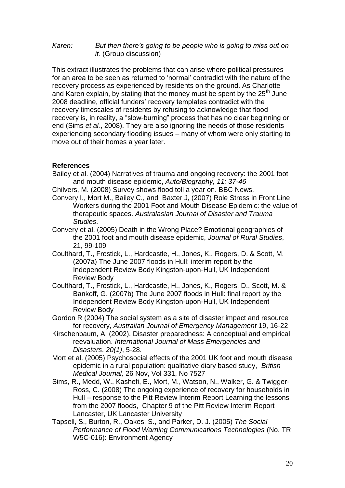#### *Karen: But then there"s going to be people who is going to miss out on it.* (Group discussion)

This extract illustrates the problems that can arise where political pressures for an area to be seen as returned to "normal" contradict with the nature of the recovery process as experienced by residents on the ground. As Charlotte and Karen explain, by stating that the money must be spent by the  $25<sup>th</sup>$  June 2008 deadline, official funders" recovery templates contradict with the recovery timescales of residents by refusing to acknowledge that flood recovery is, in reality, a "slow-burning" process that has no clear beginning or end (Sims *et al.*, 2008). They are also ignoring the needs of those residents experiencing secondary flooding issues – many of whom were only starting to move out of their homes a year later.

## **References**

- Bailey et al. (2004) Narratives of trauma and ongoing recovery: the 2001 foot and mouth disease epidemic, *Auto/Biography, 11: 37-46*
- Chilvers, M. (2008) Survey shows flood toll a year on. BBC News.
- Convery I., Mort M., Bailey C., and Baxter J, (2007) Role Stress in Front Line Workers during the 2001 Foot and Mouth Disease Epidemic: the value of therapeutic spaces. *Australasian Journal of Disaster and Trauma Studies*.
- Convery et al. (2005) Death in the Wrong Place? Emotional geographies of the 2001 foot and mouth disease epidemic, *Journal of Rural Studies*, 21, 99-109
- Coulthard, T., Frostick, L., Hardcastle, H., Jones, K., Rogers, D. & Scott, M. (2007a) The June 2007 floods in Hull: interim report by the Independent Review Body Kingston-upon-Hull, UK Independent Review Body
- Coulthard, T., Frostick, L., Hardcastle, H., Jones, K., Rogers, D., Scott, M. & Bankoff, G. (2007b) The June 2007 floods in Hull: final report by the Independent Review Body Kingston-upon-Hull, UK Independent Review Body
- Gordon R (2004) The social system as a site of disaster impact and resource for recovery, *Australian Journal of Emergency Management* 19, 16-22
- Kirschenbaum, A. (2002). Disaster preparedness: A conceptual and empirical reevaluation. *International Journal of Mass Emergencies and Disasters*. *20(1)*, 5-28.
- Mort et al. (2005) Psychosocial effects of the 2001 UK foot and mouth disease epidemic in a rural population: qualitative diary based study, *British Medical Journal,* 26 Nov, Vol 331, No 7527
- Sims, R., Medd, W., Kashefi, E., Mort, M., Watson, N., Walker, G. & Twigger-Ross, C. (2008) The ongoing experience of recovery for households in Hull – response to the Pitt Review Interim Report Learning the lessons from the 2007 floods, Chapter 9 of the Pitt Review Interim Report Lancaster, UK Lancaster University
- Tapsell, S., Burton, R., Oakes, S., and Parker, D. J. (2005) *The Social Performance of Flood Warning Communications Technologies* (No. TR W5C-016): Environment Agency